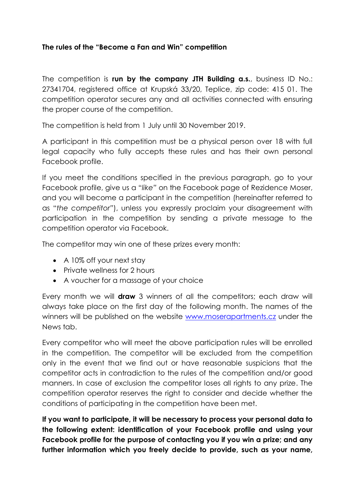## **The rules of the "Become a Fan and Win" competition**

The competition is **run by the company JTH Building a.s.**, business ID No.: 27341704, registered office at Krupská 33/20, Teplice, zip code: 415 01. The competition operator secures any and all activities connected with ensuring the proper course of the competition.

The competition is held from 1 July until 30 November 2019.

A participant in this competition must be a physical person over 18 with full legal capacity who fully accepts these rules and has their own personal Facebook profile.

If you meet the conditions specified in the previous paragraph, go to your Facebook profile, give us a "*like"* on the Facebook page of Rezidence Moser, and you will become a participant in the competition (hereinafter referred to as "*the competitor"*), unless you expressly proclaim your disagreement with participation in the competition by sending a private message to the competition operator via Facebook.

The competitor may win one of these prizes every month:

- A 10% off your next stay
- Private wellness for 2 hours
- A voucher for a massage of your choice

Every month we will **draw** 3 winners of all the competitors; each draw will always take place on the first day of the following month. The names of the winners will be published on the website [www.moserapartments.cz](http://www.moserapartments.cz/) under the News tab.

Every competitor who will meet the above participation rules will be enrolled in the competition. The competitor will be excluded from the competition only in the event that we find out or have reasonable suspicions that the competitor acts in contradiction to the rules of the competition and/or good manners. In case of exclusion the competitor loses all rights to any prize. The competition operator reserves the right to consider and decide whether the conditions of participating in the competition have been met.

**If you want to participate, it will be necessary to process your personal data to the following extent: identification of your Facebook profile and using your Facebook profile for the purpose of contacting you if you win a prize; and any further information which you freely decide to provide, such as your name,**